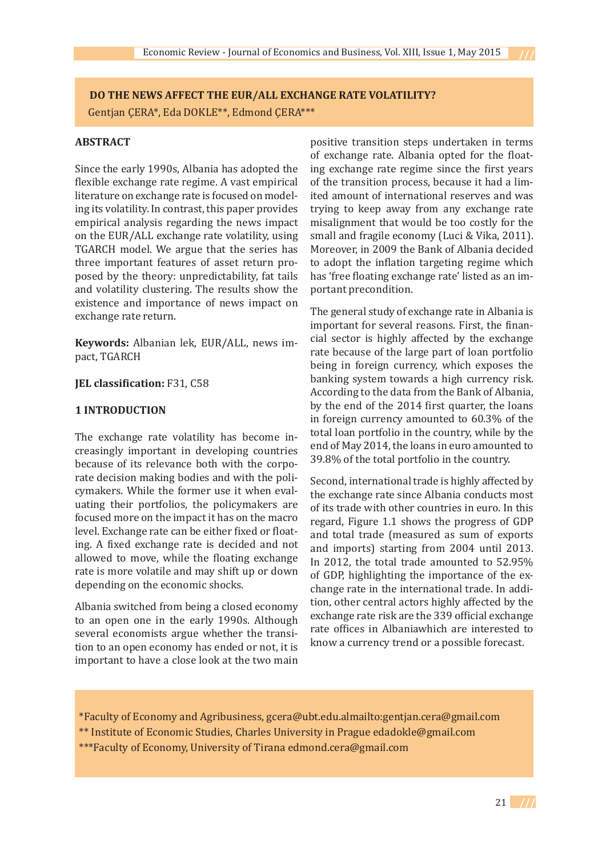**DO THE NEWS AFFECT THE EUR/ALL EXCHANGE RATE VOLATILITY?** Gentjan ÇERA\*, Eda DOKLE\*\*, Edmond ÇERA\*\*\*

# **ABSTRACT**

Since the early 1990s, Albania has adopted the flexible exchange rate regime. A vast empirical literature on exchange rate is focused on modeling its volatility. In contrast, this paper provides empirical analysis regarding the news impact on the EUR/ALL exchange rate volatility, using TGARCH model. We argue that the series has three important features of asset return proposed by the theory: unpredictability, fat tails and volatility clustering. The results show the existence and importance of news impact on exchange rate return.

**Keywords:** Albanian lek, EUR/ALL, news impact, TGARCH

## **JEL classification:** F31, C58

#### **1 INTRODUCTION**

The exchange rate volatility has become increasingly important in developing countries because of its relevance both with the corporate decision making bodies and with the policymakers. While the former use it when evaluating their portfolios, the policymakers are focused more on the impact it has on the macro level. Exchange rate can be either fixed or floating. A fixed exchange rate is decided and not allowed to move, while the floating exchange rate is more volatile and may shift up or down depending on the economic shocks.

Albania switched from being a closed economy to an open one in the early 1990s. Although several economists argue whether the transition to an open economy has ended or not, it is important to have a close look at the two main positive transition steps undertaken in terms of exchange rate. Albania opted for the floating exchange rate regime since the first years of the transition process, because it had a limited amount of international reserves and was trying to keep away from any exchange rate misalignment that would be too costly for the small and fragile economy (Luci & Vika, 2011). Moreover, in 2009 the Bank of Albania decided to adopt the inflation targeting regime which has 'free floating exchange rate' listed as an important precondition.

The general study of exchange rate in Albania is important for several reasons. First, the financial sector is highly affected by the exchange rate because of the large part of loan portfolio being in foreign currency, which exposes the banking system towards a high currency risk. According to the data from the Bank of Albania, by the end of the 2014 first quarter, the loans in foreign currency amounted to 60.3% of the total loan portfolio in the country, while by the end of May 2014, the loans in euro amounted to 39.8% of the total portfolio in the country.

Second, international trade is highly affected by the exchange rate since Albania conducts most of its trade with other countries in euro. In this regard, Figure 1.1 shows the progress of GDP and total trade (measured as sum of exports and imports) starting from 2004 until 2013. In 2012, the total trade amounted to 52.95% of GDP, highlighting the importance of the exchange rate in the international trade. In addition, other central actors highly affected by the exchange rate risk are the 339 official exchange rate offices in Albaniawhich are interested to know a currency trend or a possible forecast.

\*Faculty of Economy and Agribusiness, gcera@ubt.edu.almailto:gentjan.cera@gmail.com \*\* Institute of Economic Studies, Charles University in Prague edadokle@gmail.com \*\*\*Faculty of Economy, University of Tirana edmond.cera@gmail.com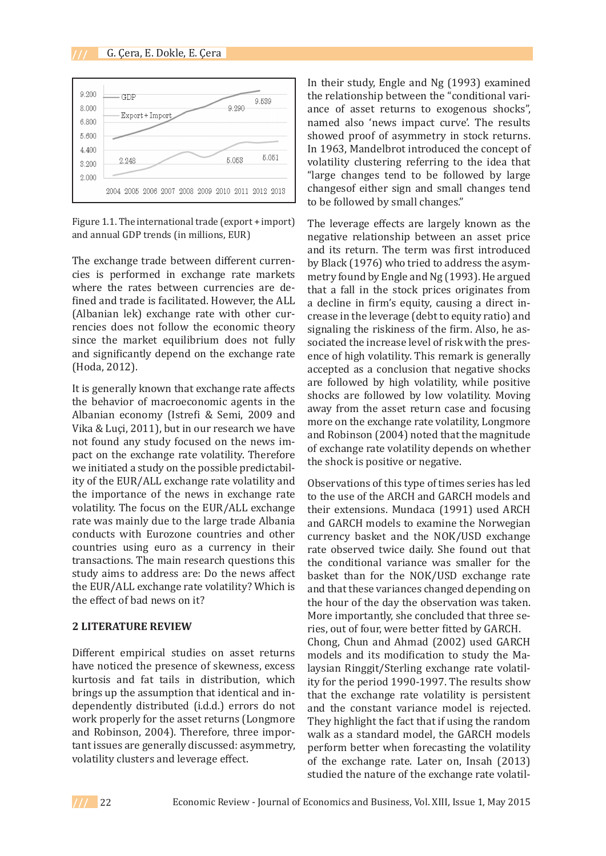

Figure 1.1. The international trade (export + import) and annual GDP trends (in millions, EUR)

The exchange trade between different currencies is performed in exchange rate markets where the rates between currencies are defined and trade is facilitated. However, the ALL (Albanian lek) exchange rate with other currencies does not follow the economic theory since the market equilibrium does not fully and significantly depend on the exchange rate (Hoda, 2012).

It is generally known that exchange rate affects the behavior of macroeconomic agents in the Albanian economy (Istrefi & Semi, 2009 and Vika & Luçi, 2011), but in our research we have not found any study focused on the news impact on the exchange rate volatility. Therefore we initiated a study on the possible predictability of the EUR/ALL exchange rate volatility and the importance of the news in exchange rate volatility. The focus on the EUR/ALL exchange rate was mainly due to the large trade Albania conducts with Eurozone countries and other countries using euro as a currency in their transactions. The main research questions this study aims to address are: Do the news affect the EUR/ALL exchange rate volatility? Which is the effect of bad news on it?

## **2 LITERATURE REVIEW**

Different empirical studies on asset returns have noticed the presence of skewness, excess kurtosis and fat tails in distribution, which brings up the assumption that identical and independently distributed (i.d.d.) errors do not work properly for the asset returns (Longmore and Robinson, 2004). Therefore, three important issues are generally discussed: asymmetry, volatility clusters and leverage effect.

In their study, Engle and Ng (1993) examined the relationship between the "conditional variance of asset returns to exogenous shocks", named also 'news impact curve'. The results showed proof of asymmetry in stock returns. In 1963, Mandelbrot introduced the concept of volatility clustering referring to the idea that "large changes tend to be followed by large changesof either sign and small changes tend to be followed by small changes."

The leverage effects are largely known as the negative relationship between an asset price and its return. The term was first introduced by Black (1976) who tried to address the asymmetry found by Engle and Ng (1993). He argued that a fall in the stock prices originates from a decline in firm's equity, causing a direct increase in the leverage (debt to equity ratio) and signaling the riskiness of the firm. Also, he associated the increase level of risk with the presence of high volatility. This remark is generally accepted as a conclusion that negative shocks are followed by high volatility, while positive shocks are followed by low volatility. Moving away from the asset return case and focusing more on the exchange rate volatility, Longmore and Robinson (2004) noted that the magnitude of exchange rate volatility depends on whether the shock is positive or negative.

Observations of this type of times series has led to the use of the ARCH and GARCH models and their extensions. Mundaca (1991) used ARCH and GARCH models to examine the Norwegian currency basket and the NOK/USD exchange rate observed twice daily. She found out that the conditional variance was smaller for the basket than for the NOK/USD exchange rate and that these variances changed depending on the hour of the day the observation was taken. More importantly, she concluded that three series, out of four, were better fitted by GARCH. Chong, Chun and Ahmad (2002) used GARCH models and its modification to study the Malaysian Ringgit/Sterling exchange rate volatility for the period 1990-1997. The results show that the exchange rate volatility is persistent and the constant variance model is rejected. They highlight the fact that if using the random walk as a standard model, the GARCH models perform better when forecasting the volatility of the exchange rate. Later on, Insah (2013) studied the nature of the exchange rate volatil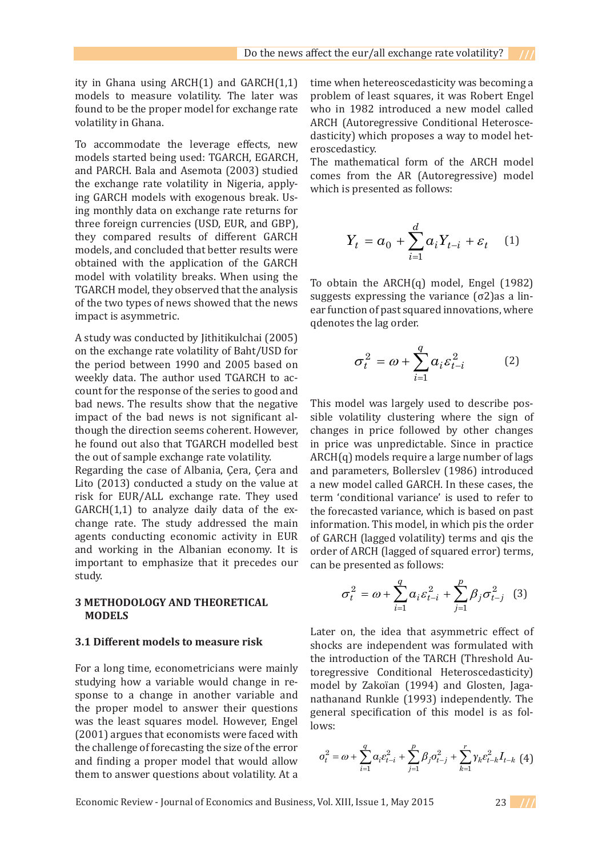ity in Ghana using  $ARCH(1)$  and  $GARCH(1,1)$ models to measure volatility. The later was found to be the proper model for exchange rate volatility in Ghana. **3.1 Different models to measure risk** 

To accommodate the leverage effects, new<br>models started being used TCARCH FCARCH models started being used: TGARCH, EGARCH, models started being used. TOANCH, EGANCH,<br>and PARCH. Bala and Asemota (2003) studied and Triveri, baid and Histmold (2005) stadied<br>the exchange rate volatility in Nigeria, apply-<br>which is presented as follows: the change rate volume, in rugging, upply which is presented as follows:<br>ing GARCH models with exogenous break. Using monthly data on exchange rate returns for a problem of least squares, it was Robert Engel who in 1982 introduced a new model called which is presented as follows: three foreign currencies (USD, EUR, and GBP),  $\frac{d}{dt}$ they compared results of different GARCH they compared results or unterent GARCH<br>models, and concluded that better results were obtained with the application of the GARCH obtailled with the application of the GARCH<br>model with volatility breaks. When using the To obtain the ARCH(0) model Fngel (1982) TGARCH model, they observed that the analysis Function model, and second that the lag order. Suggests expressing the variance  $(\sigma^2)$  as a lin-<br>of the two types of news showed that the news  $\sigma^2$  are function of past squared innovations, where impact is asymmetric.

A study was conducted by Jithitikulchai (2005) on the exchange rate volatility of Baht/USD for the period between 1990 and 2005 based on  $\sigma_t^2 = \omega + \sum a_i \varepsilon_{t-i}^2$  (2) weekly data. The author used TGARCH to ac-<br> $i=1$ count for the response of the series to good and bad news. The results show that the negative impact of the bad news is not significant although the direction seems coherent. However, he found out also that TGARCH modelled best the out of sample exchange rate volatility.

Regarding the case of Albania, Çera, Çera and Lito (2013) conducted a study on the value at risk for EUR/ALL exchange rate. They used FISK for EOK/AEE exchange rate. They used the memorial variance is GARCH(1,1) to analyze daily data of the exchange rate. The study addressed the main information. This model, in w agents conducting economic activity in EUR and working in the Albanian economy. It is and working in the Albaman economy. It is a former of ARCH (lagged of square important to emphasize that it precedes our and be presented as follows: study.

#### **3 METHODOLOGY AND THEORETICAL MODELS** Later on, the independent of shocks are independent was found with the independent was formulated with the independent with the independent with the induced with the induced with the induced with the induced with the indu

#### **3.1 Different models to measure risk**

For a long time, econometricians were mainly studying how a variable would change in response to a change in another variable and the proper model to answer their questions was the least squares model. However, Engel lows: (2001) argues that economists were faced with the challenge of forecasting the size of the error and finding a proper model that would allow them to answer questions about volatility. At a

time when hetereoscedasticity was becoming a 1 Ghana using ARCH(1) and GARCH(1,1) time when hetereoscedasticity was becoming a<br>els to measure volatility. The later was problem of least squares, it was Robert Engel d to be the proper model for exchange rate  $\frac{1}{2}$  who in 1982 introduced a new model called  $\frac{1}{2}$ ility in Ghana.<br>ARCH (Autoregressive Conditional Heterosce-<br>desticity) which proposes a way to model between the model who in 1982 is well as Robert Engels and the model dasticity) which proposes a way to model het-<br>commodate the leverage effects new dasticity) which proposes a way to model heteroscedasticy. challenge of forecasting the size of the error and finding a proper model that would allow

the least squares model. However, Engel (2001) argues that economists were faced with the

being used: TGARCH, EGARCH, The mathematical form of the ARCH model la and Asemota (2003) studied comes from the AR (Autoregressive) model which is presented as follows:

$$
Y_t = \alpha_0 + \sum_{i=1}^d \alpha_i Y_{t-i} + \varepsilon_t \quad (1)
$$

To obtain the ARCH(q) model, Engel (1982)<br>CH model, they observed that the analysis  $\frac{1}{2}$  and variance ( $\frac{2}{3}$ ) suggests expressing the variance  $(\sigma^2)$ as a linear function of past squared innovations, where *d* rect is asymmetric.<br> *A is*  $\alpha$  *is a symmetric.*<br> *A is a symmetric.* 

$$
\sigma_t^2 = \omega + \sum_{i=1}^q \alpha_i \varepsilon_{t-i}^2 \tag{2}
$$

news. The results show that the negative This model was largely used to describe posews. The results show that the negative This model was largely used to describe pos-<br>t of the bad news is not significant al- sible volatility clustering where the sign of<br>h the direction seems coherent. However, changes i ct of the bad news is not significant al-<br>gh the direction seems coherent. However, changes in price followed by other changes in price was unpredictable. Since in practice<br>unt of sample avehange rate volatility a  $\Delta PCl(G)$  models require a large number of lags ut of sample exchange rate volatility.<br>  $ARCH(q)$  models require a large number of lags<br>
rding the case of Albania. Cera, Cera, and and parameters. Bollersley, (1986), introduced ding the case of Albania, Çera, Çera and and parameters, Bollerslev (1986) introduced  $(2013)$  conducted a study on the value at a new model called GARCH. In these cases, the for EUR/ALL exchange rate. They used term 'conditional variance' is used to refer to  $\frac{u}{d\mu}$  to analyze daily data of the exception the forecasted variance which is begad an next analyze daily data of the ex-<br>analyze daily data of the ex-<br>the forecasted variance, which is based on past he study addressed the main information. This model, in which pis the order of GARCH (lagged volatility) terms and qis the *p q* order of ARCH (lagged of squared error) terms,  $\frac{1}{2}$  can be presented as follows: ged voiatility) tern<br>(lagged of squared<br>ed as follows: der of ARCH (lagged of squared error) t<br>der of ARCH (lagged of squared error) t ting economic activity in EUR of GARCH (lagged volatility) terms and qis the  $\overline{a}$ 

**THODOLOGY AND THEORETICAL** 
$$
\sigma_t^2 = \omega + \sum_{i=1}^{q} a_i \varepsilon_{t-i}^2 + \sum_{j=1}^{p} \beta_j \sigma_{t-j}^2
$$
 (3)

Later on, the idea that asymmetric effect of shocks are independent was formulated with the independent was formulated with the independent was formulated with the independent with the independent was formulated with the i shocks are independent was formulated with the introduction of the TARCH (Threshold Autoregressive Conditional Heteroscedasticity) model by Zakoïan (1994) and Glosten, Jaga-1 another variable and nathanand Runkle (1993) independently. The answer their questions general specification of this model is as follows:

$$
\sigma_t^2 = \omega + \sum_{i=1}^q \alpha_i \varepsilon_{t-i}^2 + \sum_{j=1}^p \beta_j \sigma_{t-j}^2 + \sum_{k=1}^r \gamma_k \varepsilon_{t-k}^2 I_{t-k}
$$
(4)

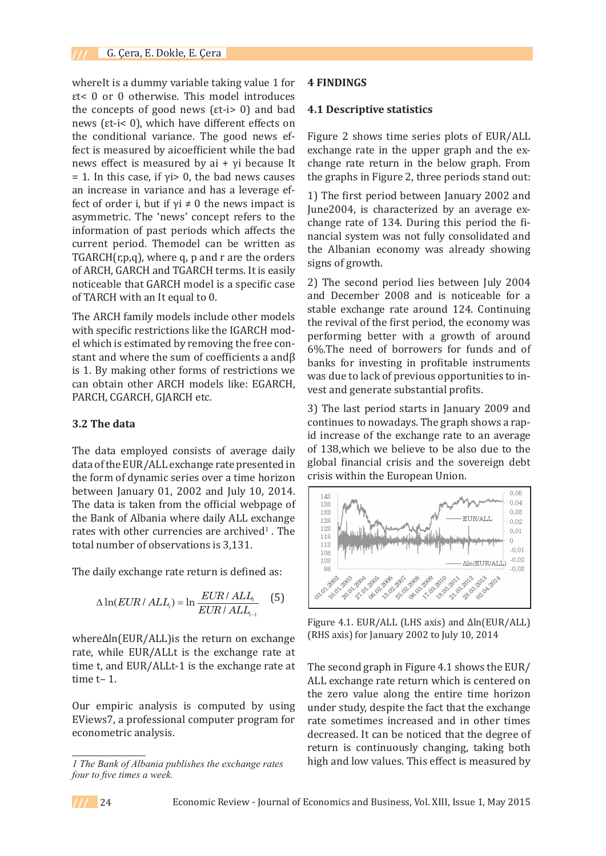whereIt is a dummy variable taking value 1 for εt< 0 or 0 otherwise. This model introduces the concepts of good news (εt-i> 0) and bad news (εt-i< 0), which have different effects on the conditional variance. The good news effect is measured by aicoefficient while the bad news effect is measured by ai +  $γ$ i because It  $= 1$ . In this case, if  $yi > 0$ , the bad news causes an increase in variance and has a leverage ef-<br>determined the Tarch (Threshold between the Tarch of the Tarch of the Tarch of the Tarch of Tarch of Tarch of tect of order i, but if  $\gamma i \neq 0$  the news impact is June2004, is characted asymmetric. The 'news' concept refers to the information of past periods which affects the current period. Themodel can be written as reflective the order of the orders and rate the orders of the orders of the orders of the orders of the orders of the orders of the orders of the orders of the orders of the orders of the orders of the orders of the orders of ARCH, GARCH and TGARCH terms. It is easily noticeable that GARCH model is a specific case where*It* is a dummy variable taking value 1 for *İt*< 0 or 0 otherwise. This model introduces of TARCH with an It equal to 0. The concepts of  $\alpha$ <sup>1</sup> and becomper 2008

The ARCH family models include other models stable exchange rate with specific restrictions like the IGARCH mod-<br>performing better w el which is estimated by removing the free con-<br>interfact of order *in* and of bordinary in the med of bordinary in the med of bordinary in the med of bordinary in the med of bordinary in the med of bordinary in the med of stant and where the sum of coefficients a andβ  $\frac{6}{9}$  hanks for investing i is 1. By making other forms of restrictions we was due to lack of pre can obtain other ARCH models like: EGARCH,  $\frac{1}{100}$  west and generate sub PARCH, CGARCH, GJARCH etc.

# **3.2 The data**

The data employed consists of average daily of 138, which we beling the can obtain our can obtain our can obtain data of the EUR/ALL exchange rate presented in the form of dynamic series over a time horizon between January 01, 2002 and July 10, 2014. The data is taken from the official webpage of  $\begin{bmatrix} 1.88 \ 1.88 \end{bmatrix}$  (in  $\begin{bmatrix} 1.88 \ 1.88 \end{bmatrix}$ ) the Bank of Albania where daily ALL exchange rates with other currencies are archived $^1$ . The  $total$  number of observations is  $3,131.$ the bank of Albania where daily ALL exchange  $\begin{bmatrix} 128 \\ 128 \end{bmatrix}$ 2014. The data is taken from the original webpage of the  $P_{118}$  method webpage of  $P_{118}$  where daily  $P_{118}$ 

The daily exchange rate return is defined as: The daily exchange rate return is defined as:

$$
\Delta \ln(EUR / ALL_i) = \ln \frac{EUR / ALL_i}{EUR / ALL_{i-1}} \quad (5)
$$

whereΔln(EUR/ALL)is the return on exchange (RHS axis) for January 2 rate, while EUR/ALLt is the exchange rate at time t, and EUR/ALLt-1 is the exchange rate at The second graph in F time t– 1.

Our empiric analysis is computed by using EViews7, a professional computer program for econometric analysis. **4.1 Descriptive statistics** 

# **4 FINDINGS**

#### **4.1 Descriptive statistics**

Figure 2 shows time series plots of EUR/ALL exchange rate in the upper graph and the exchange rate return in the below graph. From the graphs in Figure 2, three periods stand out:

1) The first period between January 2002 and June2004, is characterized by an average exchange rate of 134. During this period the financial system was not fully consolidated and the Albanian economy was already showing signs of growth.

2) The second period lies between July 2004 and December 2008 and is noticeable for a stable exchange rate around 124. Continuing the revival of the first period, the economy was performing better with a growth of around 6%.The need of borrowers for funds and of banks for investing in profitable instruments was due to lack of previous opportunities to invest and generate substantial profits.

3) The last period starts in January 2009 and **3.2 The data EXECUTE: The ARCH family models with specific restrictions of the IGARCH family models with specific restrictions and the IGARCH**  $\alpha$  **continues to nowadays. The graph shows a rap**id increase of the exchange rate to an average of 138,which we believe to be also due to the global financial crisis and the sovereign debt crisis within the European Union.



Figure 4.1. EUR/ALL (LHS axis) and Δln(EUR/ALL) (RHS axis) for January 2002 to July 10, 2014

The second graph in Figure 4.1 shows the EUR/ ALL exchange rate return which is centered on the zero value along the entire time horizon under study, despite the fact that the exchange rate sometimes increased and in other times decreased. It can be noticed that the degree of return is continuously changing, taking both high and low values. This effect is measured by



*T* The Bank of Albania publishes the exchange rates high and low values. *f file Ballin by Houling publishes the exeminge rates* of  $\frac{1}{2}$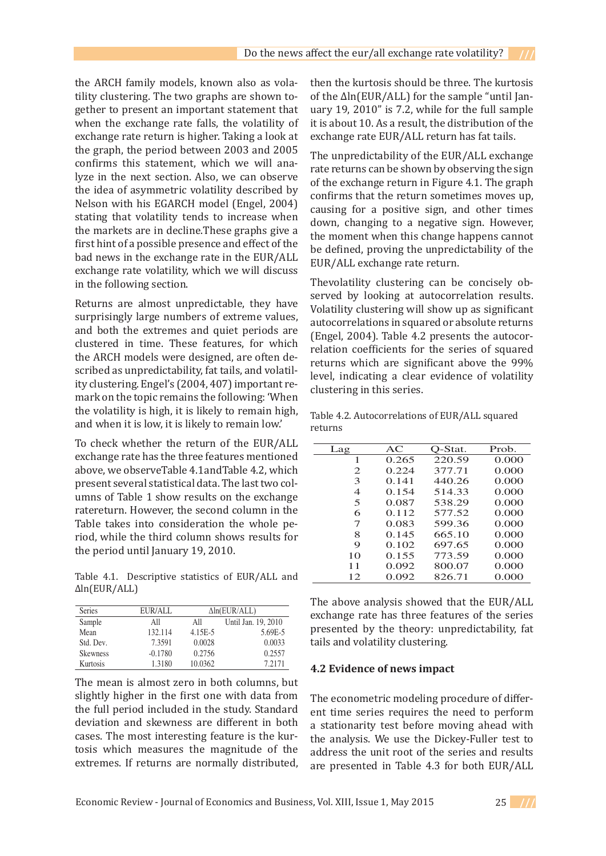the ARCH family models, known also as vola-<br> tility clustering. The two graphs are shown together to present an important statement that when the exchange rate falls, the volatility of exchange rate return is higher. Taking a look at the graph, the period between 2003 and 2005 confirms this statement, which we will analyze in the next section. Also, we can observe the idea of asymmetric volatility described by Nelson with his EGARCH model (Engel, 2004) stating that volatility tends to increase when the markets are in decline.These graphs give a first hint of a possible presence and effect of the exchange rate volatility, which we will discuss  $\frac{EUN/ALL}{P}$  exchange rate Feurly. in the following section.

Returns are almost unpredictable, they have clustered in time. These features, for which (Engel, 2004). Table 4.2 presents<br>relation coefficients for the series the ARCH models were designed, are often described as unpredictability, fat tails, and volatilmark on the topic remains the following: 'When cross-corresponding a clear evidence of the 99% level, indicating a clear evidence of the 99% level, in detail and the 99% level, in detail and the 99% level of the 99% level the volatility is high, it is likely to remain high, Table 4 and when it is low, it is likely to remain low.'

Table 4.1. Descriptive statistics of EUR/ALL and  $\Delta$ ln(EUR/ALL)

| Series          | EUR/ALL   | $\Delta$ ln(EUR/ALL) |                     |  |  |  |
|-----------------|-----------|----------------------|---------------------|--|--|--|
| Sample          | All       | All                  | Until Jan. 19, 2010 |  |  |  |
| Mean            | 132.114   | 4.15E-5              | 5.69E-5             |  |  |  |
| Std. Dev.       | 7.3591    | 0.0028               | 0.0033              |  |  |  |
| <b>Skewness</b> | $-0.1780$ | 0.2756               | 0.2557              |  |  |  |
| Kurtosis        | 1.3180    | 10.0362              | 7.2171              |  |  |  |

The mean is almost zero in both columns, but slightly higher in the first one with data from The econ the full period included in the study. Standard ent time deviation and skewness are different in both a station cases. The most interesting feature is the kur-<br>the analy tosis which measures the magnitude of the address t extremes. If returns are normally distributed,  $\frac{dE}{dt}$ 

then the kurtosis should be three. The kurtosis of the Δln(EUR/ALL) for the sample "until Janment that uary  $19, 2010$ " is 7.2, while for the full sample ment  $\delta$  olatility of it is about 10. As a result, the distribution of the bidding of this diseased forms a research and diseased for the disease of the all All All Teturn has fat tails. the Table takes into consideration the whole period, while the third column shows results for ig a look at liexchange rate EUN/ALL return has lat tans.<br>Land 200E

bad news in the exchange rate in the  $EUR/ALL$  be defined, proving the diffredictability of the bad news in the exchange rate return.  $\frac{3 \text{ and } 2005}{\text{ and } 2005}$  The unpredictability of the EUR/ALL exchange  $x$  will ana-<br>in observe  $x$  atter returns can be shown by observing the sign of the exchange return in Figure 4.1. The graph confirms that the return sometimes moves up, his EGARCH model (Engel, 2004) causing for a positive sign, and other times volatility tends to increase when volatility tends to increase when  $\frac{1}{2}$  down, changing to a negative sign. However, are in decline. These graphs give a substitution of the moment when this change happens cannot negative significant measures and effect of the possible presence and effect of the  $\frac{1}{2}$  be defined, proving the unpredictability of the the exchange rate in the  $\frac{2}{2}$  be defined, proving the unpredictability of the EUR/ALL exchange rate return. rate returns can be shown by observing the sign<br>an observe the collection of the second the Contract of the second the Contract of the second

surprisingly large numbers of extreme values,<br>autocorrelations in squared or absolute returns and both the extremes and quiet periods are  $\frac{1}{2}$  (Engel, 2004). Table 4.2 presents the autocor- $\frac{1}{2}$  ity clustering. Engel's (2004, 407) important re-<br>clustering in this series. Thevolatility clustering can be concisely obincredictable they have served by looking at autocorrelation results. almost unpredictable, they have ved by looking at addecorrelation results.<br>Volatility clustering will show up as significant autocorrelations in squared or absolute returns (Engel, 2004). Table 4.2 presents the autocorrelation coefficients for the series of squared odels were designed, are often de-<br>predictability fat tails and volatilipredictability, fat tails, and volatil-<br>I Fngel's (2004–407) important reclustering in this series.

> Table 4.2. Autocorrelations of EUR/ALL squared returns  $\mathbf{r}$  are turns of  $\mathbf{r}$  and  $\mathbf{r}$  and  $\mathbf{r}$  are defined returns of  $\mathbf{r}$

| To check whether the return of the EUR/ALL          |                |       |         |       |
|-----------------------------------------------------|----------------|-------|---------|-------|
|                                                     | Lag            | AC    | O-Stat. | Prob. |
| exchange rate has the three features mentioned      |                | 0.265 | 220.59  | 0.000 |
| above, we observe Table 4.1 and Table 4.2, which    | 2              | 0.224 | 377.71  | 0.000 |
| present several statistical data. The last two col- | 3              | 0.141 | 440.26  | 0.000 |
| umns of Table 1 show results on the exchange        | $\overline{4}$ | 0.154 | 514.33  | 0.000 |
|                                                     | 5              | 0.087 | 538.29  | 0.000 |
| ratereturn. However, the second column in the       | 6              | 0.112 | 577.52  | 0.000 |
| Table takes into consideration the whole pe-        | 7              | 0.083 | 599.36  | 0.000 |
| riod, while the third column shows results for      | 8              | 0.145 | 665.10  | 0.000 |
|                                                     | 9              | 0.102 | 697.65  | 0.000 |
| the period until January 19, 2010.                  | 10             | 0.155 | 773.59  | 0.000 |
|                                                     | 11             | 0.092 | 800.07  | 0.000 |
| Table 4.1. Descriptive statistics of EUR/ALL and    | 12             | 0.092 | 826.71  | 0.000 |

The above analysis showed that the EUR/ALL  $\frac{\text{EUR/ALL}}{\text{All}}$   $\frac{\Delta \ln(\text{EUR/ALL})}{\text{IIntil Jan 19 2010}}$  exchange rate has three features of the series presented by the theory: unpredictability, fat tails and volatility clustering. exchange rate has three reatures of the series<br>all all Until Jan. 19, 2010 resented by the theory: unpredictability for

# **4.2 Evidence of news impact**

The econometric modeling procedure of different time series requires the need to perform a stationarity test before moving ahead with the analysis. We use the Dickey-Fuller test to address the unit root of the series and results are presented in Table 4.3 for both EUR/ALL

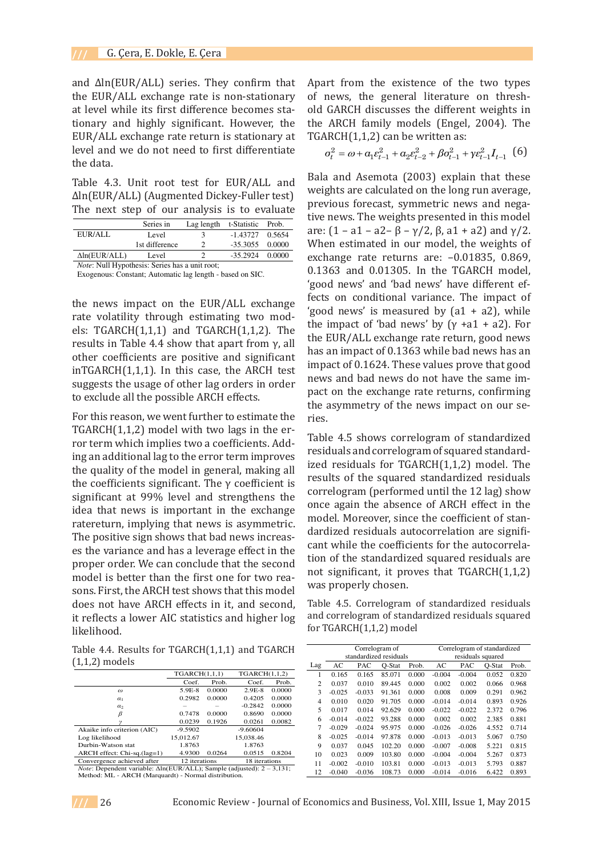and Δln(EUR/ALL) series. They confirm that the EUR/ALL exchange rate is non-stationary at level while its first difference becomes stationary and highly significant. However, the the ARCH tionary and inginy significant. However, the the ANCH<br>EUR/ALL exchange rate return is stationary at TGARCH(1, level and we do not need to first differentiate  $\sigma_t^2 = \omega + \sigma_t^2$ the data. The  $\frac{1}{2}$  series is non-stationary confirm that the EUR/ALL exchange rate is non-stationary confirm that the EUR/ALL expansion of  $\frac{1}{2}$ at level while its first difference becomes stationary and higher stationary and higher significant. However, the stationary significant  $\mathbf{A}$ 

Table 4.3. Unit root test for EUR/ALL and  $\frac{1}{2}$  weights are Δln(EUR/ALL) (Augmented Dickey-Fuller test) The next step of our analysis is to evaluate  $\frac{P^{\text{rev}}}{\text{true}}$ 

|                                                         | Series in      | Lag length t-Statistic |                   | Prob. |
|---------------------------------------------------------|----------------|------------------------|-------------------|-------|
| EUR/ALL                                                 | Level          | к                      | $-1.43727$ 0.5654 |       |
|                                                         | 1st difference |                        | $-35.3055$ 0.0000 |       |
| $\Delta$ ln(EUR/ALL)                                    | Level          |                        | $-35.2924$ 0.0000 |       |
| $\mathcal{M}$ . A futural decoderation of $\mathcal{M}$ |                |                        |                   |       |

*Note*: Null Hypothesis: Series has a unit root:

Exogenous: Constant; Automatic lag length - based on SIC.

the news impact on the EUR/ALL exchange  $\frac{1}{2}$  rects on the rate volatility through estimating two mod-<br>the impact els: TGARCH $(1,1,1)$  and TGARCH $(1,1,2)$ . The  $\frac{1}{10}$  FIIR/AI results in Table 4.4 show that apart from  $γ$ , all other coefficients are positive and significant the TGARCH(1,1,2) model with the TGARCH(1,2) model with the TGARCH(1,2) model with the TGARCH(1,2) model with the TGARCH(1,2) model with the TGARCH(1,2) model with two lags i inTGARCH $(1,1,1)$ . In this case, the ARCH test implies to the error term in a control of the error term in a control of the error term in a control of the error term in a control of the entries of the entries of the entri **improves the usage of other lag orders in order** in the control of the coefficients suggests the usage of other lag orders in order to exclude all the possible ARCH effects.  $\lim_{n \to \infty}$  in the EIIR/AI.

For this reason, we went further to estimate the TGARCH $(1,1,2)$  model with two lags in the error term which implies two a coefficients. Add-<br>residuals are ing an additional lag to the error term improves the quality of the model in general, making all the coefficients significant. The  $γ$  coefficient is significant at  $99\%$  level and strengthens the **Experimental and** *Seven and Sevengheim* are idea that news is important in the exchange ratereturn, implying that news is asymmetric. The positive sign shows that bad news increas-<br>Cant whi es the variance and has a leverage effect in the proper order. We can conclude that the second tion of the use of  $\frac{1}{2}$ model is better than the first one for two rea-<br>was prop sons. First, the ARCH test shows that this model does not have ARCH effects in it, and second, Table 4.5 it reflects a lower AIC statistics and higher  $\log_{10}$  and corre likelihood. The second model is better than the first one for two reasons. First, the ARCH test shows the ARCH For this reason, we went further to estimate the  $\;$  ries. a that news is important in the exchange es the variance and has a leverage effect in the tion of the cons. First, the ARCH test shows that this model  $\frac{1}{2}$  stationarity test before moving analysis. We use the asymmetric test to  $\frac{1}{2}$  $\frac{1}{2}$ at level while the induced while  $\frac{1}{2}$  and  $\frac{1}{2}$  and  $\frac{1}{2}$  is  $\frac{1}{2}$  is  $\frac{1}{2}$  is  $\frac{1}{2}$  is  $\frac{1}{2}$  is  $\frac{1}{2}$  is  $\frac{1}{2}$  is  $\frac{1}{2}$  is  $\frac{1}{2}$  is  $\frac{1}{2}$  is  $\frac{1}{2}$  is  $\frac{1}{2}$  $T_{\rm g}$  are the easy  $T_{\rm g}$  is the E85  $\mu$  m and  $T_{\rm g}$  are  $T_{\rm g}$ inc positive sign shows that bad news mercus cant while proper ditel. We ca does not have ARCH effects in it, and second, adde 4.5 news a lever the statistics and higher log for TCAR  $\mathbf s$  in the model. Moreover, since the coefficient of standardized residuals and  $\mathbf s$ 

Table 4.4. Results for TGARCH(1,1,1) and TGARCH  $(1,1,2)$  models that this model does not have ARCH effects in it, and second, it reflects a lower AIC statistics Table 4.4.

|                                                                                          | TGARCH(1.1.1) |        | TGARCH(1,1,2) |        |
|------------------------------------------------------------------------------------------|---------------|--------|---------------|--------|
|                                                                                          | Coef.         | Prob.  | Coef.         | Prob.  |
| $\omega$                                                                                 | $5.9E-8$      | 0.0000 | $2.9E-8$      | 0.0000 |
| $\alpha_1$                                                                               | 0.2982        | 0.0000 | 0.4205        | 0.0000 |
| $\alpha$                                                                                 |               |        | $-0.2842$     | 0.0000 |
| β                                                                                        | 0.7478        | 0.0000 | 0.8690        | 0.0000 |
|                                                                                          | 0.0239        | 0.1926 | 0.0261        | 0.0082 |
| Akaike info criterion (AIC)                                                              | $-9.5902$     |        | $-9.60604$    |        |
| Log likelihood                                                                           | 15.012.67     |        | 15.038.46     |        |
| Durbin-Watson stat                                                                       | 1.8763        |        | 1.8763        |        |
| $ARCH$ effect: $Chi-sq.(lag=1)$                                                          | 4.9300        | 0.0264 | 0.0515        | 0.8204 |
| Convergence achieved after                                                               | 12 iterations |        | 18 iterations |        |
| <i>Note:</i> Dependent variable: $\Delta ln(EUR/ALL)$ ; Sample (adjusted): $2 - 3.131$ ; |               |        |               |        |

Method: ML - ARCH (Marquardt) - Normal distribution.

$$
\sigma_t^2 = \omega + a_1 \varepsilon_{t-1}^2 + a_2 \varepsilon_{t-2}^2 + \beta \sigma_{t-1}^2 + \gamma \varepsilon_{t-1}^2 I_{t-1}
$$
 (6)

est for EUR/ALL and Bala and Asemota (2003) explain that these est for EST, the and weights are calculated on the long run average, when the long in the model is model. are:  $\frac{1}{2}$   $\frac{1}{2}$   $\frac{1}{2}$   $\frac{1}{2}$   $\frac{1}{2}$   $\frac{1}{2}$   $\frac{1}{2}$   $\frac{1}{2}$   $\frac{1}{2}$   $\frac{1}{2}$   $\frac{1}{2}$   $\frac{1}{2}$   $\frac{1}{2}$   $\frac{1}{2}$   $\frac{1}{2}$   $\frac{1}{2}$   $\frac{1}{2}$   $\frac{1}{2}$   $\frac{1}{2}$   $\frac{1}{2}$   $\frac{1}{2}$   $\frac{1}{2$  $\frac{1}{\sigma}$  Lag length t-Statistic Prob tive news. The weights presented in this model  $\frac{2}{3}$  -1.43727 0.5654 are:  $(1 - a1 - a2 - \beta - \gamma/2, \beta, a1 + a2)$  and  $\gamma/2$ . 2  $-35.3055$   $0.0000$  When estimated in our model, the weights of  $\frac{2}{\text{a unit root}}$  =  $\frac{2}{\text{b3.2924}}$  0.0000 exchange rate returns are: -0.01835, 0.869, ag length - based on SIC.  $0.1363$  and  $0.01305$ . In the TGARCH model, 'good news' and 'bad news' have different ef-impact on the exchange rate returns, confirming the asymmetry of the news impact on our fects on conditional variance. The impact of 'good news' is measured by  $(a1 + a2)$ , while  $\frac{1}{4}$  TGARCH(1.1.2). The the impact of 'bad news' by (γ +a1 + a2). For w that apart from y, all the EUR/ALL exchange rate return, good news  $\alpha$  and significant has an impact of 0.1363 while bad news has an  $\alpha$ is case, the ARCH test impact of  $0.1624$ . These values prove that good her lag orders in order in hews and bad news do not have the same imle ARCH effects. That on the exchange rate returns, confirming it all all that TGARCH the asymmetry of the news impact on our series. exchange ratereturn, including that news is asymmetric. The positive sign shows that  $\frac{1}{2}$  is asymmetric. The positive sign shows that bad For this reason, we went further to estimate the  $\overline{\phantom{a}}$  ries.  $\mathbf{r}$  the existence of the two types of the general literature on the general literature on the general literature on the general literature on the general literature on the general literature on the general literature  $\frac{d}{dt}$  discusses the different weights in the ARCH family models (Eq. 2004). The ARCH family models (Eq. 2004). The ARCH family models (Eq. 2004). The ARCH family models (Eq. 2004). The ARCH family models (Eq. 2004). T

Table 4.5 shows correlogram of standardized residuals and correlogram of squared standardmproves restating and estrological original calculation of  $\frac{1}{\text{R}}$  is a second residuals for TGARCH(1,1,2) model. The results of the squared standardized residuals icient is  $\frac{1}{2}$  correlogram (performed until the 12 lag) show once again the absence of ARCH effect in the model. Moreover, since the coefficient of standardized residuals autocorrelation are significant while the coefficients for the autocorrelacond tion of the standardized squared residuals are cond rea- not significant, it proves that  $TGARCH(1,1,2)$ s model was properly chosen. the er- $_{\text{Table 4.5 shows a sample sum of}}$  $\frac{d}{dx}$  and  $\frac{d}{dx}$  results of the squared standardized residuals 2 0.037 0.010 89.445 0.000 0.002 0.002 0.066 0.968 µJRRG QHZV¶ DQG µEDG QHZV¶ KDYH GLIIHUHQW HIIHFWV RQ FRQGLWLRQDO YDULDQFH 7KH LPSDFW RI xchange once again the absence of their enect in the nmetric. Inodel: Moreover, since the esemerent of standardical dividends and bad news dark do not have the same that  $\frac{1}{2}$  $\text{reas-}\quad$  and  $\text{reas-}\quad$  $n$  the called while the coefficients for the autocorrelation are:  $\frac{1}{2}$   $\frac{1}{2}$   $\frac{1}{2}$   $\frac{1}{2}$   $\frac{1}{2}$   $\frac{1}{2}$   $\frac{1}{2}$   $\frac{1}{2}$   $\frac{1}{2}$   $\frac{1}{2}$   $\frac{1}{2}$   $\frac{1}{2}$   $\frac{1}{2}$   $\frac{1}{2}$   $\frac{1}{2}$   $\frac{1}{2}$   $\frac{1}{2}$   $\frac{1}{2}$   $\frac{1}{2}$   $\frac{1}{2}$   $\frac{1}{2}$   $\frac{1}{2$  $\mu_{\text{matter}}$  induct. Moreover, since the coefficient or stariincreast  $\epsilon$  cant while the coefficients for the autocorrela- $\text{Second}$  second  $\text{Test}$  shows correlated residuals and correlated residuals and correlated residuals and  $\text{Test}$ wo realied for Significant, it proves that TGARCH(1,1,2)  $\frac{1}{2}$ 

second, Table 4.5. Correlogram of standardized residuals gher log and correlogram of standardized residuals squared  $\epsilon$  for TGARCH $(1,1,2)$  model TGARCH(1,1,2) model

| $RCH(1,1,1)$ and TGARCH                |                  |                  | Correlogram of         |          |          | Correlogram of standardized |          |          |          |        |       |
|----------------------------------------|------------------|------------------|------------------------|----------|----------|-----------------------------|----------|----------|----------|--------|-------|
|                                        |                  |                  | standardized residuals |          |          | residuals squared           |          |          |          |        |       |
|                                        |                  |                  | Lag                    | AC       | PAC      | O-Stat                      | Prob.    | AС       | PAC      | O-Stat | Prob. |
| $\text{RCH}(1,1,1)$                    | TGARCH(1,1,2)    |                  |                        | 0.165    | 0.165    | 85.071                      | 0.000    | $-0.004$ | $-0.004$ | 0.052  | 0.820 |
| Coef.<br>Prob.                         | Coef.            | Prob.            |                        | 0.037    | 0.010    | 89.445                      | 0.000    | 0.002    | 0.002    | 0.066  | 0.968 |
| 9E-8<br>0.0000                         | $2.9E-8$         | 0.0000           |                        | $-0.025$ | $-0.033$ | 91.361                      | 0.000    | 0.008    | 0.009    | 0.291  | 0.962 |
| 2982<br>0.0000                         | 0.4205           | 0.0000           | 4                      | 0.010    | 0.020    | 91.705                      | 0.000    | $-0.014$ | $-0.014$ | 0.893  | 0.926 |
|                                        | $-0.2842$        | 0.0000           |                        | 0.017    | 0.014    | 92.629                      | 0.000    | $-0.022$ | $-0.022$ | 2.372  | 0.796 |
| 7478<br>0.0000<br>)239<br>0.1926       | 0.8690<br>0.0261 | 0.0000<br>0.0082 | 6                      | $-0.014$ | $-0.022$ | 93.288                      | 0.000    | 0.002    | 0.002    | 2.385  | 0.881 |
| 5902                                   | $-9.60604$       |                  |                        | $-0.029$ | $-0.024$ | 95.975                      | 0.000    | $-0.026$ | $-0.026$ | 4.552  | 0.714 |
| 2.67                                   | 15.038.46        |                  | 8                      | $-0.025$ | $-0.014$ | 97.878                      | 0.000    | $-0.013$ | $-0.013$ | 5.067  | 0.750 |
| 3763                                   | 1.8763           |                  | 9                      | 0.037    | 0.045    | 102.20                      | 0.000    | $-0.007$ | $-0.008$ | 5.221  | 0.815 |
| 9300<br>0.0264                         | 0.0515           | 0.8204           | 10                     | 0.023    | 0.009    | 103.80                      | 0.000    | $-0.004$ | $-0.004$ | 5.267  | 0.873 |
| 2 iterations                           | 18 iterations    |                  |                        | $-0.002$ | $-0.010$ | 103.81                      | 0.000    | $-0.013$ | $-0.013$ | 5.793  | 0.887 |
| ALL); Sample (adjusted): $2 - 3,131$ ; |                  | 12               | $-0.040$               | $-0.036$ | 108.73   | 0.000                       | $-0.014$ | $-0.016$ | 6.422    | 0.893  |       |
| Normal distribution.                   |                  |                  |                        |          |          |                             |          |          |          |        |       |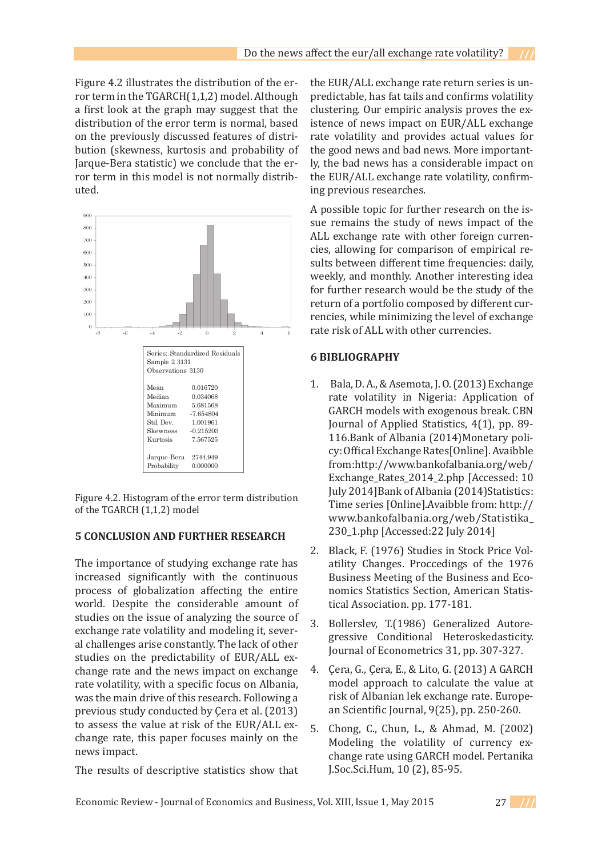Figure 4.2 illustrates the distribution of the error term in the TGARCH(1,1,2) model. Although a first look at the graph may suggest that the distribution of the error term is normal, based on the previously discussed features of distribution (skewness, kurtosis and probability of Jarque-Bera statistic) we conclude that the error term in this model is not normally distributed.



Figure 4.2. Histogram of the error term distribution of the TGARCH  $(1,1,2)$  model Time series [Online].Avaibble from: http://<br>of the TGARCH (1.1.2) model

# **5 CONCLUSION AND FURTHER RESEARCH** 250\_1.pmp [Accessed]

The importance of studying exchange rate has increased significantly with the continuous process of globalization affecting the entire momics Statistics Se world. Despite the considerable amount of tical Association pp. studies on the issue of analyzing the source of  $\frac{1}{3}$  Rollersley T(19) statics on the issue of analyzing the source of exchange rate volatility and modeling it, sever-**6 BIBLIOGRAPH IS CONSTRAINTLY STATE AND THE NEWSTANGE REPORTS ON EXCHANGE RATE** studies on the predictability of EUR/ALL ex-<br>Journal of Economet change rate and the news impact on exchange 4. Cera, G., Cel rate volatility, with a specific focus on Albania, model approach to was the main drive of this research. Following a risk of Albanian lek previous study conducted by Çera et al. (2013) to assess the value at risk of the EUR/ALL exconsider the change in the contract of the  $\frac{1}{2}$   $\frac{1}{2}$   $\frac{1}{2}$  or the  $\frac{1}{2}$ . Chong, C., change rate, this paper focuses mainly on the  $\frac{1}{2}$ news impact. A possible topic for  $\frac{1}{2}$  possible to the integration of  $\frac{1}{2}$  multiple study of  $\frac{1}{2}$  multiple study of  $\frac{1}{2}$  $\frac{1}{2}$  increased significantly with the continuous business meeting of empirical  $\frac{1}{2}$  increased significantly with the continuous was the main arrive of this research. Following a **5** The in

The results of descriptive statistics show that  $\Gamma$  the require of deconing  $\Gamma$ 

the EUR/ALL exchange rate return series is unpredictable, has fat tails and confirms volatility clustering. Our empiric analysis proves the existence of news impact on EUR/ALL exchange rate volatility and provides actual values for the good news and bad news. More importantly, the bad news has a considerable impact on the EUR/ALL exchange rate volatility, confirming previous researches.

A possible topic for further research on the issue remains the study of news impact of the ALL exchange rate with other foreign currencies, allowing for comparison of empirical results between different time frequencies: daily, weekly, and monthly. Another interesting idea for further research would be the study of the return of a portfolio composed by different currencies, while minimizing the level of exchange rate risk of ALL with other currencies.

# **6 BIBLIOGRAPHY**

- Bala, D. A., & Asemota, J. O. (2013) Exchange 1. rate volatility in Nigeria: Application of July 2014]Bank of Albania (2014)Statistics: undredictable, has fat tailors and confirms volume volume volume volume volume volume volume volume volume vol 5 CONCLUSION AND FURTHER RESEARCH 230\_1.php [Accessed:22 July 2014]
- 2. Black, F. (1976) Studies in Stock Price Volatility Changes. Proccedings of the 1976 Business Meeting of the Business and Economics Statistics Section, American Statistical Association. pp. 177-181. on the EUR/ALL exchange rate voltations rate volation  $2.$  Black
	- Bollerslev, T.(1986) Generalized Autoregressive Conditional Heteroskedasticity. Journal of Econometrics 31, pp. 307-327. 3.
	- Çera, G., Çera, E., & Lito, G. (2013) A GARCH 4. model approach to calculate the value at risk of Albanian lek exchange rate. European Scientific Journal, 9(25), pp. 250-260.
	- Chong, C., Chun, L., & Ahmad, M. (2002) Modeling the volatility of currency exchange rate using GARCH model. Pertanika J.Soc.Sci.Hum, 10 (2), 85-95. 5.